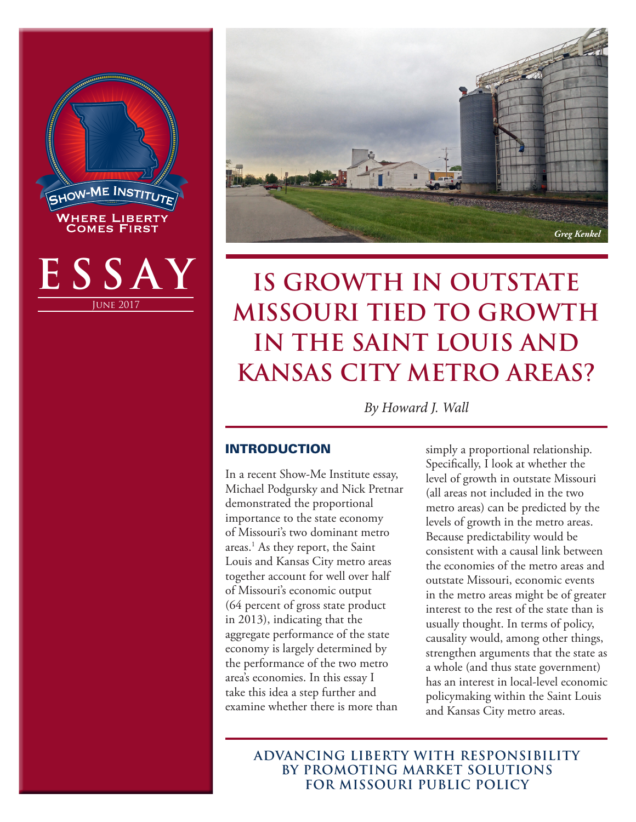



# **IS GROWTH IN OUTSTATE MISSOURI TIED TO GROWTH IN THE SAINT LOUIS AND KANSAS CITY METRO AREAS?**

*By Howard J. Wall*

### INTRODUCTION

In a recent Show-Me Institute essay, Michael Podgursky and Nick Pretnar demonstrated the proportional importance to the state economy of Missouri's two dominant metro areas.1 As they report, the Saint Louis and Kansas City metro areas together account for well over half of Missouri's economic output (64 percent of gross state product in 2013), indicating that the aggregate performance of the state economy is largely determined by the performance of the two metro area's economies. In this essay I take this idea a step further and examine whether there is more than

simply a proportional relationship. Specifically, I look at whether the level of growth in outstate Missouri (all areas not included in the two metro areas) can be predicted by the levels of growth in the metro areas. Because predictability would be consistent with a causal link between the economies of the metro areas and outstate Missouri, economic events in the metro areas might be of greater interest to the rest of the state than is usually thought. In terms of policy, causality would, among other things, strengthen arguments that the state as a whole (and thus state government) has an interest in local-level economic policymaking within the Saint Louis and Kansas City metro areas.

**ADVANCING LIBERTY WITH RESPONSIBILITY BY PROMOTING MARKET SOLUTIONS FOR MISSOURI PUBLIC POLICY**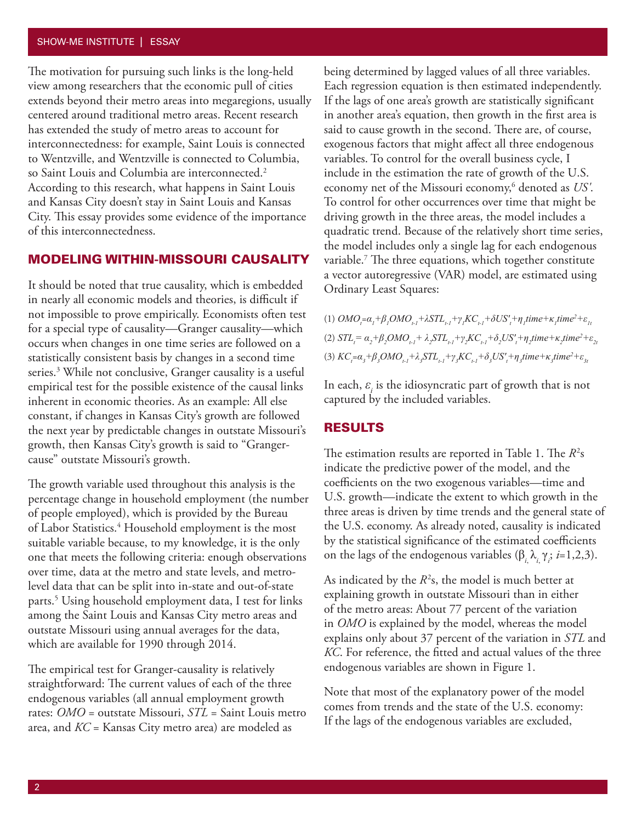#### SHOW-ME INSTITUTE | ESSAY

The motivation for pursuing such links is the long-held view among researchers that the economic pull of cities extends beyond their metro areas into megaregions, usually centered around traditional metro areas. Recent research has extended the study of metro areas to account for interconnectedness: for example, Saint Louis is connected to Wentzville, and Wentzville is connected to Columbia, so Saint Louis and Columbia are interconnected.<sup>2</sup> According to this research, what happens in Saint Louis and Kansas City doesn't stay in Saint Louis and Kansas City. This essay provides some evidence of the importance of this interconnectedness.

#### MODELING WITHIN-MISSOURI CAUSALITY

It should be noted that true causality, which is embedded in nearly all economic models and theories, is difficult if not impossible to prove empirically. Economists often test for a special type of causality—Granger causality—which occurs when changes in one time series are followed on a statistically consistent basis by changes in a second time series.3 While not conclusive, Granger causality is a useful empirical test for the possible existence of the causal links inherent in economic theories. As an example: All else constant, if changes in Kansas City's growth are followed the next year by predictable changes in outstate Missouri's growth, then Kansas City's growth is said to "Grangercause" outstate Missouri's growth.

The growth variable used throughout this analysis is the percentage change in household employment (the number of people employed), which is provided by the Bureau of Labor Statistics.<sup>4</sup> Household employment is the most suitable variable because, to my knowledge, it is the only one that meets the following criteria: enough observations over time, data at the metro and state levels, and metrolevel data that can be split into in-state and out-of-state parts.5 Using household employment data, I test for links among the Saint Louis and Kansas City metro areas and outstate Missouri using annual averages for the data, which are available for 1990 through 2014.

The empirical test for Granger-causality is relatively straightforward: The current values of each of the three endogenous variables (all annual employment growth rates: *OMO* = outstate Missouri, *STL* = Saint Louis metro area, and *KC* = Kansas City metro area) are modeled as

being determined by lagged values of all three variables. Each regression equation is then estimated independently. If the lags of one area's growth are statistically significant in another area's equation, then growth in the first area is said to cause growth in the second. There are, of course, exogenous factors that might affect all three endogenous variables. To control for the overall business cycle, I include in the estimation the rate of growth of the U.S. economy net of the Missouri economy,6 denoted as *US'*. To control for other occurrences over time that might be driving growth in the three areas, the model includes a quadratic trend. Because of the relatively short time series, the model includes only a single lag for each endogenous variable.7 The three equations, which together constitute a vector autoregressive (VAR) model, are estimated using Ordinary Least Squares:

 $(1)$   $OMO_{i} = \alpha_{i} + \beta_{i}OMO_{i} + \lambda STL_{i} + \gamma_{i}KC_{i} + \delta US'_{i} + \eta_{i} time + \kappa_{i} time^{2} + \varepsilon_{i}$ (2)  $STL_{t} = \alpha_{2} + \beta_{2} OMO_{t-l} + \lambda_{2}STL_{t-l} + \gamma_{2}KC_{t-l} + \delta_{2} US'_{t} + \eta_{2} time + \kappa_{2} time^{2} + \varepsilon_{2}$ (3)  $KC_{i} = \alpha_{3} + \beta_{3} OMO_{i} + \lambda_{3} STL_{i} + \gamma_{3} KC_{i} + \delta_{3} US'_{i} + \eta_{3} time + \kappa_{3} time^{2} + \varepsilon_{3}$ 

In each,  $\varepsilon$ <sub>*i*</sub> is the idiosyncratic part of growth that is not captured by the included variables.

#### RESULTS

The estimation results are reported in Table 1. The  $R^2$ s indicate the predictive power of the model, and the coefficients on the two exogenous variables—time and U.S. growth—indicate the extent to which growth in the three areas is driven by time trends and the general state of the U.S. economy. As already noted, causality is indicated by the statistical significance of the estimated coefficients on the lags of the endogenous variables  $(\beta_{i_i}, \lambda_{i_i}, \gamma_i; i=1,2,3)$ .

As indicated by the  $R^2$ s, the model is much better at explaining growth in outstate Missouri than in either of the metro areas: About 77 percent of the variation in *OMO* is explained by the model, whereas the model explains only about 37 percent of the variation in *STL* and *KC*. For reference, the fitted and actual values of the three endogenous variables are shown in Figure 1.

Note that most of the explanatory power of the model comes from trends and the state of the U.S. economy: If the lags of the endogenous variables are excluded,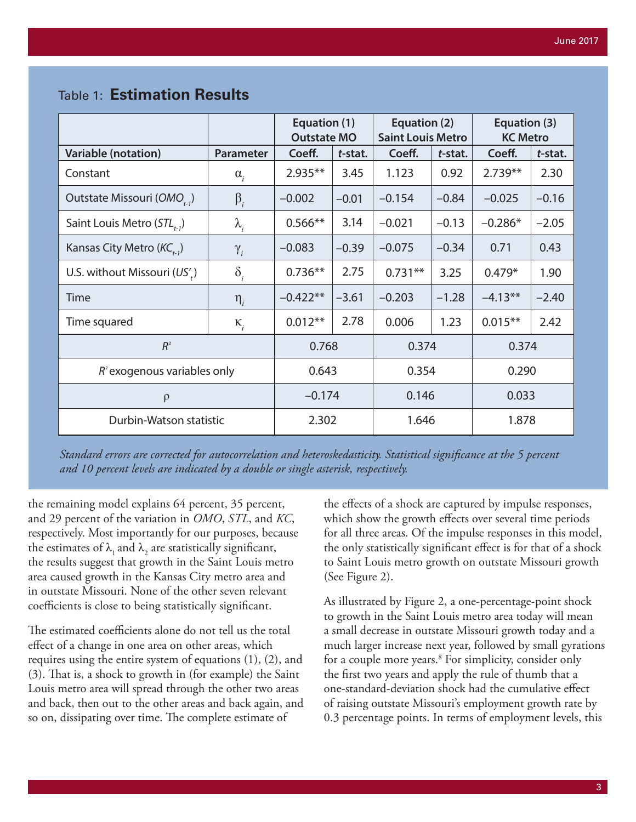|                                                              |                  | Equation (1)<br><b>Outstate MO</b> |         | Equation (2)<br><b>Saint Louis Metro</b> |         | Equation (3)<br><b>KC Metro</b> |         |
|--------------------------------------------------------------|------------------|------------------------------------|---------|------------------------------------------|---------|---------------------------------|---------|
| <b>Variable (notation)</b>                                   | <b>Parameter</b> | Coeff.                             | t-stat. | Coeff.                                   | t-stat. | Coeff.                          | t-stat. |
| Constant                                                     | $\alpha_{i}$     | $2.935**$                          | 3.45    | 1.123                                    | 0.92    | $2.739**$                       | 2.30    |
| Outstate Missouri (OMO <sub>ta</sub> )                       | $\beta_i$        | $-0.002$                           | $-0.01$ | $-0.154$                                 | $-0.84$ | $-0.025$                        | $-0.16$ |
| Saint Louis Metro $(STL_{t-1})$                              | $\lambda_i$      | $0.566**$                          | 3.14    | $-0.021$                                 | $-0.13$ | $-0.286*$                       | $-2.05$ |
| Kansas City Metro ( $\mathsf{KC}_{\scriptscriptstyle n,1}$ ) | $\gamma_{i}$     | $-0.083$                           | $-0.39$ | $-0.075$                                 | $-0.34$ | 0.71                            | 0.43    |
| U.S. without Missouri $(US'_r)$                              | $\delta_i$       | $0.736**$                          | 2.75    | $0.731**$                                | 3.25    | $0.479*$                        | 1.90    |
| Time                                                         | $\eta_i$         | $-0.422**$                         | $-3.61$ | $-0.203$                                 | $-1.28$ | $-4.13**$                       | $-2.40$ |
| Time squared                                                 | $\kappa_i$       | $0.012**$                          | 2.78    | 0.006                                    | 1.23    | $0.015**$                       | 2.42    |
| $R^2$                                                        |                  | 0.768                              |         | 0.374                                    |         | 0.374                           |         |
| $R^2$ exogenous variables only                               |                  | 0.643                              |         | 0.354                                    |         | 0.290                           |         |
| $\rho$                                                       |                  | $-0.174$                           |         | 0.146                                    |         | 0.033                           |         |
| Durbin-Watson statistic                                      |                  | 2.302                              |         | 1.646                                    |         | 1.878                           |         |

## Table 1: **Estimation Results**

*Standard errors are corrected for autocorrelation and heteroskedasticity. Statistical significance at the 5 percent and 10 percent levels are indicated by a double or single asterisk, respectively.*

the remaining model explains 64 percent, 35 percent, and 29 percent of the variation in *OMO*, *STL*, and *KC*, respectively. Most importantly for our purposes, because the estimates of  $\lambda_1$  and  $\lambda_2$  are statistically significant, the results suggest that growth in the Saint Louis metro area caused growth in the Kansas City metro area and in outstate Missouri. None of the other seven relevant coefficients is close to being statistically significant.

The estimated coefficients alone do not tell us the total effect of a change in one area on other areas, which requires using the entire system of equations (1), (2), and (3). That is, a shock to growth in (for example) the Saint Louis metro area will spread through the other two areas and back, then out to the other areas and back again, and so on, dissipating over time. The complete estimate of

the effects of a shock are captured by impulse responses, which show the growth effects over several time periods for all three areas. Of the impulse responses in this model, the only statistically significant effect is for that of a shock to Saint Louis metro growth on outstate Missouri growth (See Figure 2).

As illustrated by Figure 2, a one-percentage-point shock to growth in the Saint Louis metro area today will mean a small decrease in outstate Missouri growth today and a much larger increase next year, followed by small gyrations for a couple more years.<sup>8</sup> For simplicity, consider only the first two years and apply the rule of thumb that a one-standard-deviation shock had the cumulative effect of raising outstate Missouri's employment growth rate by 0.3 percentage points. In terms of employment levels, this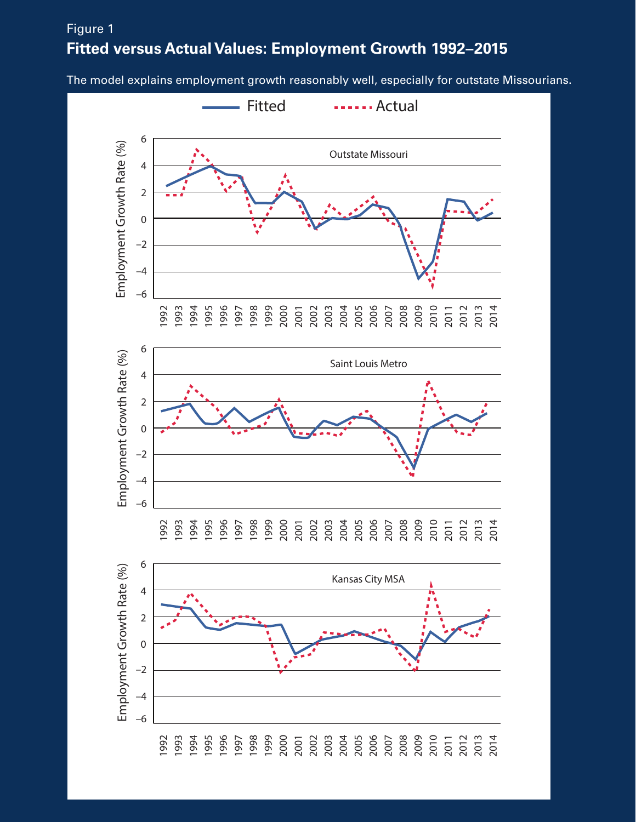# **Fitted versus Actual Values: Employment Growth 1992-2015** Figure 1

The model explains employment growth reasonably well, especially for outstate Missourians.

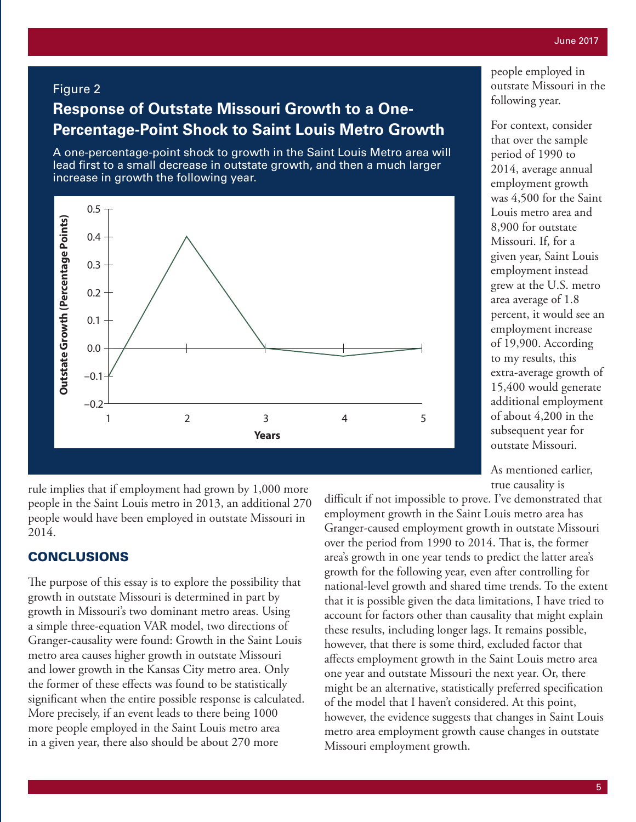#### Figure 2

# **Response of Outstate Missouri Growth to a One-Percentage-Point Shock to Saint Louis Metro Growth**

A one-percentage-point shock to growth in the Saint Louis Metro area will lead first to a small decrease in outstate growth, and then a much larger increase in growth the following year.



rule implies that if employment had grown by 1,000 more people in the Saint Louis metro in 2013, an additional 270 people would have been employed in outstate Missouri in 2014.

#### CONCLUSIONS

The purpose of this essay is to explore the possibility that growth in outstate Missouri is determined in part by growth in Missouri's two dominant metro areas. Using a simple three-equation VAR model, two directions of Granger-causality were found: Growth in the Saint Louis metro area causes higher growth in outstate Missouri and lower growth in the Kansas City metro area. Only the former of these effects was found to be statistically significant when the entire possible response is calculated. More precisely, if an event leads to there being 1000 more people employed in the Saint Louis metro area in a given year, there also should be about 270 more

people employed in outstate Missouri in the following year.

For context, consider that over the sample period of 1990 to 2014, average annual employment growth was 4,500 for the Saint Louis metro area and 8,900 for outstate Missouri. If, for a given year, Saint Louis employment instead grew at the U.S. metro area average of 1.8 percent, it would see an employment increase of 19,900. According to my results, this extra-average growth of 15,400 would generate additional employment of about 4,200 in the subsequent year for outstate Missouri.

As mentioned earlier, true causality is

difficult if not impossible to prove. I've demonstrated that employment growth in the Saint Louis metro area has Granger-caused employment growth in outstate Missouri over the period from 1990 to 2014. That is, the former area's growth in one year tends to predict the latter area's growth for the following year, even after controlling for national-level growth and shared time trends. To the extent that it is possible given the data limitations, I have tried to account for factors other than causality that might explain these results, including longer lags. It remains possible, however, that there is some third, excluded factor that affects employment growth in the Saint Louis metro area one year and outstate Missouri the next year. Or, there might be an alternative, statistically preferred specification of the model that I haven't considered. At this point, however, the evidence suggests that changes in Saint Louis metro area employment growth cause changes in outstate Missouri employment growth.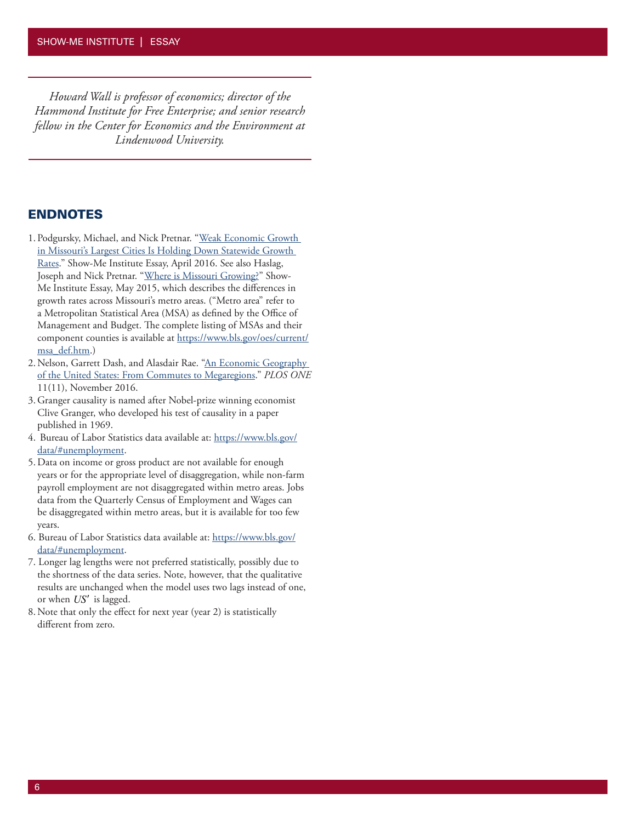*Howard Wall is professor of economics; director of the Hammond Institute for Free Enterprise; and senior research fellow in the Center for Economics and the Environment at Lindenwood University.*

#### ENDNOTES

- 1. Podgursky, Michael, and Nick Pretnar. "Weak Economic Growth in Missouri's Largest Cities Is Holding Down Statewide Growth Rates." Show-Me Institute Essay, April 2016. See also Haslag, Joseph and Nick Pretnar. "Where is Missouri Growing?" Show-Me Institute Essay, May 2015, which describes the differences in growth rates across Missouri's metro areas. ("Metro area" refer to a Metropolitan Statistical Area (MSA) as defined by the Office of Management and Budget. The complete listing of MSAs and their component counties is available at https://www.bls.gov/oes/current/ msa\_def.htm.)
- 2.Nelson, Garrett Dash, and Alasdair Rae. "An Economic Geography of the United States: From Commutes to Megaregions." *PLOS ONE* 11(11), November 2016.
- 3. Granger causality is named after Nobel-prize winning economist Clive Granger, who developed his test of causality in a paper published in 1969.
- 4. Bureau of Labor Statistics data available at: https://www.bls.gov/ data/#unemployment.
- 5.Data on income or gross product are not available for enough years or for the appropriate level of disaggregation, while non-farm payroll employment are not disaggregated within metro areas. Jobs data from the Quarterly Census of Employment and Wages can be disaggregated within metro areas, but it is available for too few years.
- 6. Bureau of Labor Statistics data available at: https://www.bls.gov/ data/#unemployment.
- 7. Longer lag lengths were not preferred statistically, possibly due to the shortness of the data series. Note, however, that the qualitative results are unchanged when the model uses two lags instead of one, or when *US*′ is lagged.
- 8.Note that only the effect for next year (year 2) is statistically different from zero.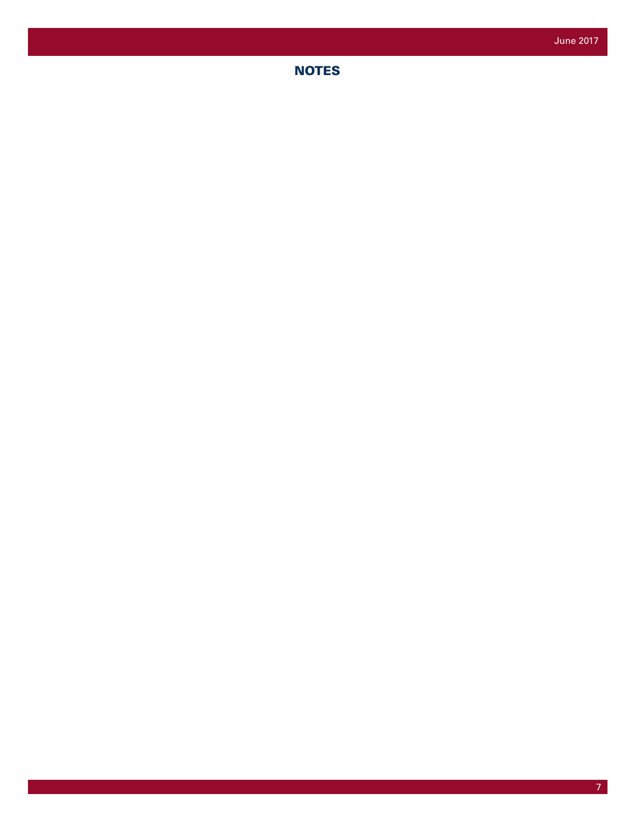## **NOTES**